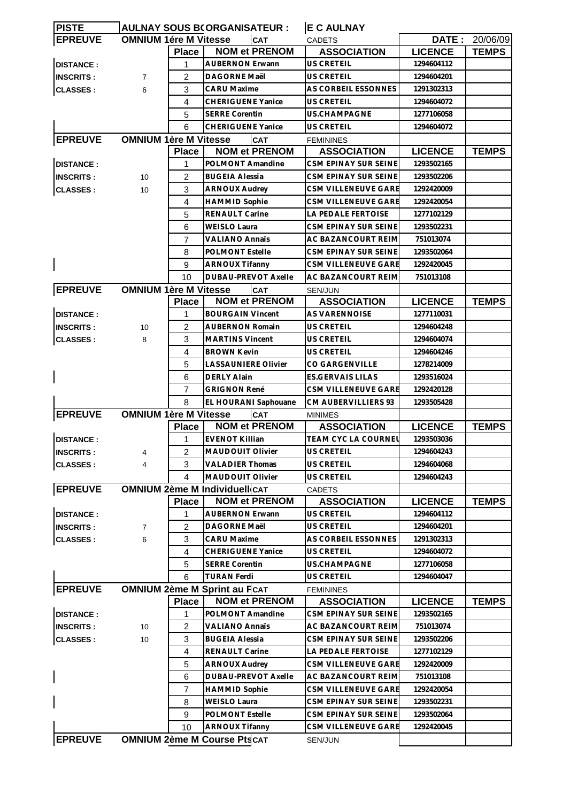| <b>PISTE</b>     |                              |                | <b>AULNAY SOUS B(ORGANISATEUR:</b>   | <b>E C AULNAY</b>         |                |                       |
|------------------|------------------------------|----------------|--------------------------------------|---------------------------|----------------|-----------------------|
| <b>EPREUVE</b>   | <b>OMNIUM 1ére M Vitesse</b> |                | <b>CAT</b>                           | <b>CADETS</b>             |                | <b>DATE: 20/06/09</b> |
|                  |                              | <b>Place</b>   | <b>NOM et PRENOM</b>                 | <b>ASSOCIATION</b>        | <b>LICENCE</b> | <b>TEMPS</b>          |
| <b>DISTANCE:</b> |                              | 1              | <b>AUBERNON Erwann</b>               | US CRETEIL                | 1294604112     |                       |
| <b>INSCRITS:</b> | $\overline{7}$               | $\overline{2}$ | <b>DAGORNE Maël</b>                  | <b>US CRETEIL</b>         | 1294604201     |                       |
| <b>CLASSES:</b>  | 6                            | 3              | CARU Maxime                          | AS CORBEIL ESSONNES       | 1291302313     |                       |
|                  |                              | 4              | <b>CHERIGUENE Yanice</b>             | US CRETEIL                | 1294604072     |                       |
|                  |                              | 5              | <b>SERRE Corentin</b>                | US.CHAMPAGNE              | 1277106058     |                       |
|                  |                              | 6              | <b>CHERIGUENE Yanice</b>             | US CRETEIL                | 1294604072     |                       |
| <b>EPREUVE</b>   | <b>OMNIUM 1ère M Vitesse</b> |                | CAT                                  | <b>FEMININES</b>          |                |                       |
|                  |                              | <b>Place</b>   | <b>NOM et PRENOM</b>                 | <b>ASSOCIATION</b>        | <b>LICENCE</b> | <b>TEMPS</b>          |
| <b>DISTANCE:</b> |                              | 1              | POLMONT Amandine                     | CSM EPINAY SUR SEINE      | 1293502165     |                       |
| <b>INSCRITS:</b> | 10                           | 2              | <b>BUGEIA Alessia</b>                | CSM EPINAY SUR SEINE      | 1293502206     |                       |
| <b>CLASSES:</b>  | 10                           | 3              | ARNOUX Audrey                        | CSM VILLENEUVE GARE       | 1292420009     |                       |
|                  |                              | $\overline{4}$ | <b>HAMMID Sophie</b>                 | CSM VILLENEUVE GARE       | 1292420054     |                       |
|                  |                              | 5              | <b>RENAULT Carine</b>                | <b>LA PEDALE FERTOISE</b> | 1277102129     |                       |
|                  |                              | 6              | <b>WEISLO Laura</b>                  | CSM EPINAY SUR SEINE      | 1293502231     |                       |
|                  |                              | 7              | <b>VALIANO Annaïs</b>                | AC BAZANCOURT REIM        | 751013074      |                       |
|                  |                              |                |                                      |                           |                |                       |
|                  |                              | 8              | <b>POLMONT Estelle</b>               | CSM EPINAY SUR SEINE      | 1293502064     |                       |
|                  |                              | 9              | <b>ARNOUX Tifanny</b>                | CSM VILLENEUVE GARE       | 1292420045     |                       |
|                  |                              | 10             | <b>DUBAU-PREVOT Axelle</b>           | AC BAZANCOURT REIM        | 751013108      |                       |
| <b>EPREUVE</b>   | <b>OMNIUM 1ère M Vitesse</b> |                | <b>CAT</b>                           | <b>SEN/JUN</b>            |                |                       |
|                  |                              | <b>Place</b>   | <b>NOM et PRENOM</b>                 | <b>ASSOCIATION</b>        | <b>LICENCE</b> | <b>TEMPS</b>          |
| <b>DISTANCE:</b> |                              | 1              | <b>BOURGAIN Vincent</b>              | AS VARENNOISE             | 1277110031     |                       |
| <b>INSCRITS:</b> | 10                           | 2              | <b>AUBERNON Romain</b>               | US CRETEIL                | 1294604248     |                       |
| <b>CLASSES:</b>  | 8                            | 3              | <b>MARTINS Vincent</b>               | US CRETEIL                | 1294604074     |                       |
|                  |                              | 4              | <b>BROWN Kevin</b>                   | US CRETEIL                | 1294604246     |                       |
|                  |                              | 5              | <b>LASSAUNIERE Olivier</b>           | CO GARGENVILLE            | 1278214009     |                       |
|                  |                              | 6              | <b>DERLY Alain</b>                   | <b>ES.GERVAIS LILAS</b>   | 1293516024     |                       |
|                  |                              | 7              | <b>GRIGNON René</b>                  | CSM VILLENEUVE GARE       | 1292420128     |                       |
|                  |                              | 8              | EL HOURANI Saphouane                 | CM AUBERVILLIERS 93       | 1293505428     |                       |
| <b>EPREUVE</b>   | <b>OMNIUM 1ère M Vitesse</b> |                | <b>CAT</b>                           | <b>MINIMES</b>            |                |                       |
|                  |                              | <b>Place</b>   | <b>NOM et PRENOM</b>                 | <b>ASSOCIATION</b>        | <b>LICENCE</b> | <b>TEMPS</b>          |
| <b>DISTANCE:</b> |                              | 1              | <b>EVENOT Killian</b>                | TEAM CYC LA COURNEU       | 1293503036     |                       |
| <b>INSCRITS:</b> | 4                            | 2              | <b>MAUDOUIT Olivier</b>              | US CRETEIL                | 1294604243     |                       |
| <b>CLASSES:</b>  | 4                            | 3              | <b>VALADIER Thomas</b>               | US CRETEIL                | 1294604068     |                       |
|                  |                              | 4              | MAUDOUIT Olivier                     | US CRETEIL                | 1294604243     |                       |
| <b>EPREUVE</b>   |                              |                | <b>OMNIUM 2ème M Individuell CAT</b> | <b>CADETS</b>             |                |                       |
|                  |                              | <b>Place</b>   | <b>NOM et PRENOM</b>                 | <b>ASSOCIATION</b>        | <b>LICENCE</b> | <b>TEMPS</b>          |
| <b>DISTANCE:</b> |                              | 1              | <b>AUBERNON Erwann</b>               | US CRETEIL                | 1294604112     |                       |
| <b>INSCRITS:</b> | 7                            | 2              | <b>DAGORNE Maël</b>                  | US CRETEIL                | 1294604201     |                       |
| <b>CLASSES:</b>  | 6                            | 3              | <b>CARU Maxime</b>                   | AS CORBEIL ESSONNES       | 1291302313     |                       |
|                  |                              | 4              | <b>CHERIGUENE Yanice</b>             | US CRETEIL                | 1294604072     |                       |
|                  |                              | 5              | <b>SERRE Corentin</b>                | US.CHAMPAGNE              | 1277106058     |                       |
|                  |                              | 6              | <b>TURAN Ferdi</b>                   | US CRETEIL                | 1294604047     |                       |
| <b>EPREUVE</b>   |                              |                | <b>OMNIUM 2ème M Sprint au FCAT</b>  | <b>FEMININES</b>          |                |                       |
|                  |                              | <b>Place</b>   | <b>NOM et PRENOM</b>                 | <b>ASSOCIATION</b>        | <b>LICENCE</b> | <b>TEMPS</b>          |
| <b>DISTANCE:</b> |                              | 1              | POLMONT Amandine                     | CSM EPINAY SUR SEINE      | 1293502165     |                       |
| <b>INSCRITS:</b> | 10                           | 2              | <b>VALIANO Annaïs</b>                | AC BAZANCOURT REIM        | 751013074      |                       |
| <b>CLASSES:</b>  | 10                           | 3              | <b>BUGEIA Alessia</b>                | CSM EPINAY SUR SEINE      | 1293502206     |                       |
|                  |                              | 4              | RENAULT Carine                       | LA PEDALE FERTOISE        | 1277102129     |                       |
|                  |                              | 5              | <b>ARNOUX Audrey</b>                 | CSM VILLENEUVE GARE       | 1292420009     |                       |
|                  |                              | 6              | DUBAU-PREVOT Axelle                  | AC BAZANCOURT REIM        | 751013108      |                       |
|                  |                              |                |                                      | CSM VILLENEUVE GARE       |                |                       |
|                  |                              | 7              | <b>HAMMID Sophie</b>                 |                           | 1292420054     |                       |
|                  |                              | 8              | WEISLO Laura                         | CSM EPINAY SUR SEINE      | 1293502231     |                       |
|                  |                              | 9              | POLMONT Estelle                      | CSM EPINAY SUR SEINE      | 1293502064     |                       |
|                  |                              | 10             | <b>ARNOUX Tifanny</b>                | CSM VILLENEUVE GARE       | 1292420045     |                       |
| <b>EPREUVE</b>   |                              |                | <b>OMNIUM 2ème M Course PtscAT</b>   | SEN/JUN                   |                |                       |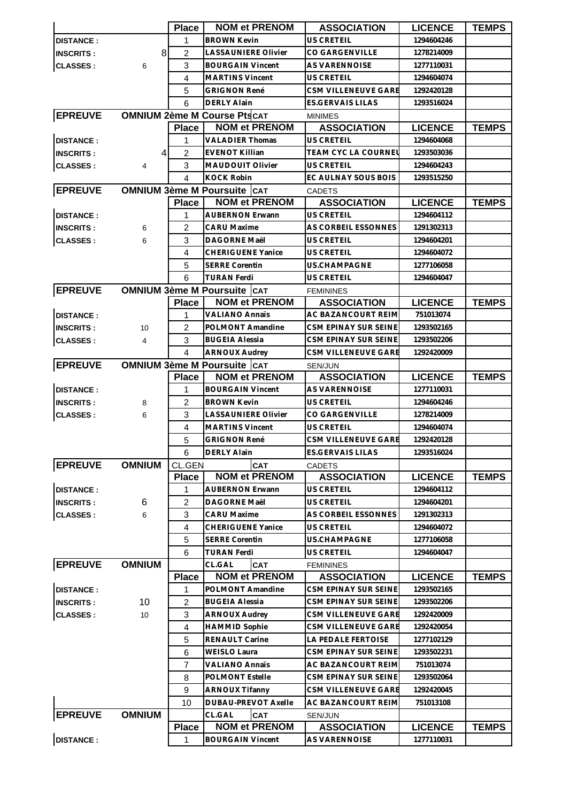|                  |                | <b>Place</b>   | <b>NOM et PRENOM</b>                 | <b>ASSOCIATION</b>         | <b>LICENCE</b> | <b>TEMPS</b> |
|------------------|----------------|----------------|--------------------------------------|----------------------------|----------------|--------------|
| <b>DISTANCE:</b> |                | 1              | <b>BROWN Kevin</b>                   | <b>US CRETEIL</b>          | 1294604246     |              |
| <b>INSCRITS:</b> | 8              | $\overline{2}$ | <b>LASSAUNIERE Olivier</b>           | CO GARGENVILLE             | 1278214009     |              |
| <b>CLASSES:</b>  | 6              | 3              | <b>BOURGAIN Vincent</b>              | AS VARENNOISE              | 1277110031     |              |
|                  |                | 4              | <b>MARTINS Vincent</b>               | <b>US CRETEIL</b>          | 1294604074     |              |
|                  |                | 5              | <b>GRIGNON René</b>                  | CSM VILLENEUVE GARE        | 1292420128     |              |
|                  |                | 6              | <b>DERLY Alain</b>                   | ES.GERVAIS LILAS           | 1293516024     |              |
| <b>EPREUVE</b>   |                |                | <b>OMNIUM 2ème M Course PtscAT</b>   | <b>MINIMES</b>             |                |              |
|                  |                | <b>Place</b>   | <b>NOM et PRENOM</b>                 | <b>ASSOCIATION</b>         | <b>LICENCE</b> | <b>TEMPS</b> |
| <b>DISTANCE:</b> |                | 1              | <b>VALADIER Thomas</b>               | <b>US CRETEIL</b>          | 1294604068     |              |
| <b>INSCRITS:</b> | 4              | $\overline{2}$ | <b>EVENOT Killian</b>                | TEAM CYC LA COURNEL        | 1293503036     |              |
| <b>CLASSES:</b>  | $\overline{4}$ | 3              | <b>MAUDOUIT Olivier</b>              | <b>US CRETEIL</b>          | 1294604243     |              |
|                  |                | $\overline{4}$ | <b>KOCK Robin</b>                    | EC AULNAY SOUS BOIS        | 1293515250     |              |
| <b>EPREUVE</b>   |                |                | <b>OMNIUM 3ème M Poursuite   CAT</b> | <b>CADETS</b>              |                |              |
|                  |                | <b>Place</b>   | <b>NOM et PRENOM</b>                 | <b>ASSOCIATION</b>         | <b>LICENCE</b> | <b>TEMPS</b> |
| <b>DISTANCE:</b> |                | 1              | <b>AUBERNON Erwann</b>               | <b>US CRETEIL</b>          | 1294604112     |              |
| <b>INSCRITS:</b> | 6              | $\overline{2}$ | <b>CARU Maxime</b>                   | AS CORBEIL ESSONNES        | 1291302313     |              |
| <b>CLASSES:</b>  | 6              | 3              | DAGORNE Maël                         | <b>US CRETEIL</b>          | 1294604201     |              |
|                  |                | 4              | <b>CHERIGUENE Yanice</b>             | <b>US CRETEIL</b>          | 1294604072     |              |
|                  |                | 5              | <b>SERRE Corentin</b>                | US.CHAMPAGNE               | 1277106058     |              |
|                  |                | 6              | <b>TURAN Ferdi</b>                   | <b>US CRETEIL</b>          | 1294604047     |              |
| <b>EPREUVE</b>   |                |                | <b>OMNIUM 3ème M Poursuite CAT</b>   | <b>FEMININES</b>           |                |              |
|                  |                | <b>Place</b>   | <b>NOM et PRENOM</b>                 | <b>ASSOCIATION</b>         | <b>LICENCE</b> | <b>TEMPS</b> |
| <b>DISTANCE:</b> |                | 1              | <b>VALIANO Annaïs</b>                | AC BAZANCOURT REIM         | 751013074      |              |
| <b>INSCRITS:</b> | 10             | $\overline{2}$ | POLMONT Amandine                     | CSM EPINAY SUR SEINE       | 1293502165     |              |
| <b>CLASSES:</b>  | 4              | 3              | <b>BUGEIA Alessia</b>                | CSM EPINAY SUR SEINE       | 1293502206     |              |
|                  |                | $\overline{4}$ | <b>ARNOUX Audrey</b>                 | <b>CSM VILLENEUVE GARE</b> | 1292420009     |              |
| <b>EPREUVE</b>   |                |                | <b>OMNIUM 3ème M Poursuite CAT</b>   | SEN/JUN                    |                |              |
|                  |                | <b>Place</b>   | <b>NOM et PRENOM</b>                 | <b>ASSOCIATION</b>         | <b>LICENCE</b> | <b>TEMPS</b> |
| <b>DISTANCE:</b> |                | 1              | <b>BOURGAIN Vincent</b>              | AS VARENNOISE              | 1277110031     |              |
| <b>INSCRITS:</b> | 8              | 2              | <b>BROWN Kevin</b>                   | <b>US CRETEIL</b>          | 1294604246     |              |
| <b>CLASSES:</b>  | 6              | 3              | <b>LASSAUNIERE Olivier</b>           | <b>CO GARGENVILLE</b>      | 1278214009     |              |
|                  |                | 4              | <b>MARTINS Vincent</b>               | US CRETEIL                 | 1294604074     |              |
|                  |                | 5              | <b>GRIGNON René</b>                  | CSM VILLENEUVE GARE        | 1292420128     |              |
|                  |                | 6              | <b>DERLY Alain</b>                   | ES.GERVAIS LILAS           | 1293516024     |              |
| <b>EPREUVE</b>   | <b>OMNIUM</b>  | CL.GEN         | CAT                                  | <b>CADETS</b>              |                |              |
|                  |                | <b>Place</b>   | <b>NOM et PRENOM</b>                 | <b>ASSOCIATION</b>         | <b>LICENCE</b> | <b>TEMPS</b> |
| <b>DISTANCE:</b> |                | 1              | <b>AUBERNON Erwann</b>               | US CRETEIL                 | 1294604112     |              |
| <b>INSCRITS:</b> | 6              | 2              | DAGORNE Maël                         | US CRETEIL                 | 1294604201     |              |
| <b>CLASSES:</b>  | 6              | 3              | <b>CARU Maxime</b>                   | AS CORBEIL ESSONNES        | 1291302313     |              |
|                  |                | 4              | <b>CHERIGUENE Yanice</b>             | US CRETEIL                 | 1294604072     |              |
|                  |                | 5              | <b>SERRE Corentin</b>                | <b>US.CHAMPAGNE</b>        | 1277106058     |              |
|                  |                | 6              | <b>TURAN Ferdi</b>                   | <b>US CRETEIL</b>          | 1294604047     |              |
| <b>EPREUVE</b>   | <b>OMNIUM</b>  |                | CL.GAL<br>CAT                        | <b>FEMININES</b>           |                |              |
|                  |                | <b>Place</b>   | <b>NOM et PRENOM</b>                 | <b>ASSOCIATION</b>         | <b>LICENCE</b> | <b>TEMPS</b> |
| <b>DISTANCE:</b> |                | 1              | POLMONT Amandine                     | CSM EPINAY SUR SEINE       | 1293502165     |              |
| <b>INSCRITS:</b> | 10             | $\overline{2}$ | <b>BUGEIA Alessia</b>                | CSM EPINAY SUR SEINE       | 1293502206     |              |
| <b>CLASSES:</b>  | 10             | 3              | <b>ARNOUX Audrey</b>                 | CSM VILLENEUVE GARE        | 1292420009     |              |
|                  |                | 4              | <b>HAMMID Sophie</b>                 | CSM VILLENEUVE GARE        | 1292420054     |              |
|                  |                | 5              | RENAULT Carine                       | LA PEDALE FERTOISE         | 1277102129     |              |
|                  |                | 6              | <b>WEISLO Laura</b>                  | CSM EPINAY SUR SEINE       | 1293502231     |              |
|                  |                | $\overline{7}$ | <b>VALIANO Annaïs</b>                | AC BAZANCOURT REIM         | 751013074      |              |
|                  |                | 8              | POLMONT Estelle                      | CSM EPINAY SUR SEINE       | 1293502064     |              |
|                  |                | 9              | <b>ARNOUX Tifanny</b>                | CSM VILLENEUVE GARE        | 1292420045     |              |
|                  |                | 10             | DUBAU-PREVOT Axelle                  | AC BAZANCOURT REIM         | 751013108      |              |
| <b>EPREUVE</b>   | <b>OMNIUM</b>  |                | CL.GAL<br>CAT                        | SEN/JUN                    |                |              |
|                  |                | <b>Place</b>   | <b>NOM et PRENOM</b>                 | <b>ASSOCIATION</b>         | <b>LICENCE</b> | <b>TEMPS</b> |
| <b>DISTANCE:</b> |                | 1              | <b>BOURGAIN Vincent</b>              | AS VARENNOISE              | 1277110031     |              |